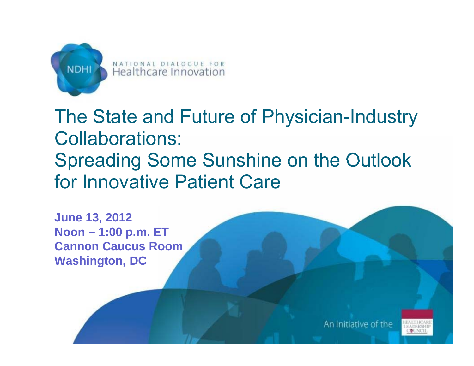

# The State and Future of Physician-Industry Collaborations: Spreading Some Sunshine on the Outlook for Innovative Patient Care

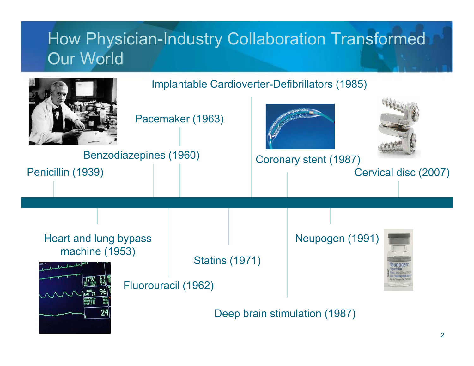# How Physician-Industry Collaboration Transformed Our World

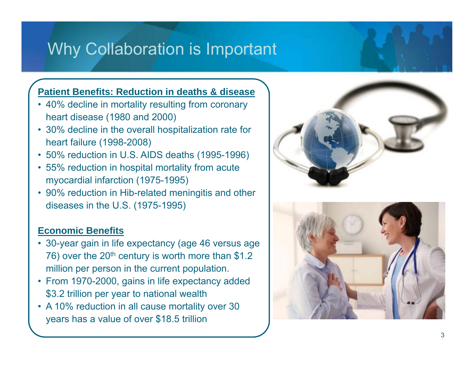# Why Collaboration is Important

#### **Patient Benefits: Reduction in deaths & disease**

- 40% decline in mortality resulting from coronary heart disease (1980 and 2000)
- 30% decline in the overall hospitalization rate for heart failure (1998-2008)
- 50% reduction in U.S. AIDS deaths (1995-1996)
- 55% reduction in hospital mortality from acute myocardial infarction (1975-1995)
- 90% reduction in Hib-related meningitis and other diseases in the U.S. (1975-1995)

#### **Economic Benefits**

- 30-year gain in life expectancy (age 46 versus age 76) over the 20<sup>th</sup> century is worth more than \$1.2 million per person in the current population.
- From 1970-2000, gains in life expectancy added \$3.2 trillion per year to national wealth
- A 10% reduction in all cause mortality over 30 years has a value of over \$18.5 trillion



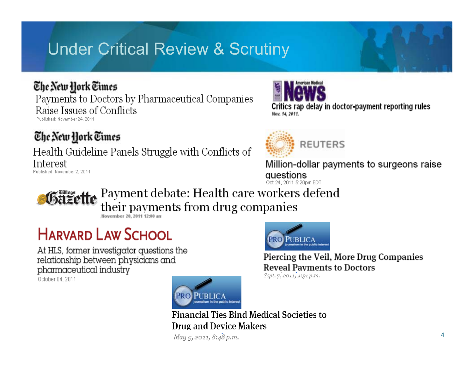# **Under Critical Review & Scrutiny**

#### The New York Times

Payments to Doctors by Pharmaceutical Companies Raise Issues of Conflicts Published: November 24, 2011

The New York Times

Health Guideline Panels Struggle with Conflicts of Interest Published: November 2, 2011



Critics rap delay in doctor-payment reporting rules Nov. 14, 2011.



Million-dollar payments to surgeons raise questions Oct 24, 2011 5:20pm EDT

Payment debate: Health care workers defend their payments from drug companies

November 20, 2011 12:00 an

# **HARVARD LAW SCHOOL**

At HLS, former investigator questions the relationship between physicians and pharmaceutical industry October 04, 2011



**Financial Ties Bind Medical Societies to Drug and Device Makers** 

May 5, 2011, 8:48 p.m.



Piercing the Veil, More Drug Companies **Reveal Payments to Doctors** 

Sept. 7, 2011, 4:31 p.m.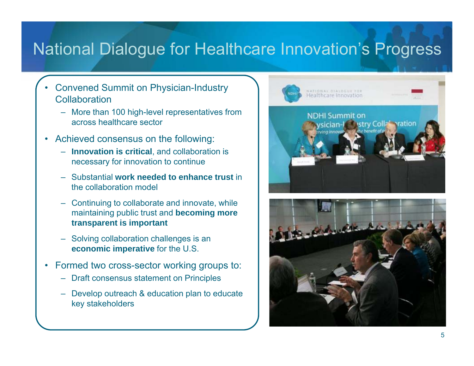# National Dialogue for Healthcare Innovation's Progress

- • Convened Summit on Physician-Industry Collaboration
	- More than 100 high-level representatives from across healthcare sector
- Achieved consensus on the following:
	- **Innovation is critical**, and collaboration is necessary for innovation to continue
	- Substantial **work needed to enhance trust** in the collaboration model
	- Continuing to collaborate and innovate, while maintaining public trust and **becoming more transparent is important**
	- Solving collaboration challenges is an **economic im perative** for the U.S.
- Formed two cross-sector working groups to:
	- Draft consensus statement on Principles
	- Develop outreach & education plan to educate key stakeholders



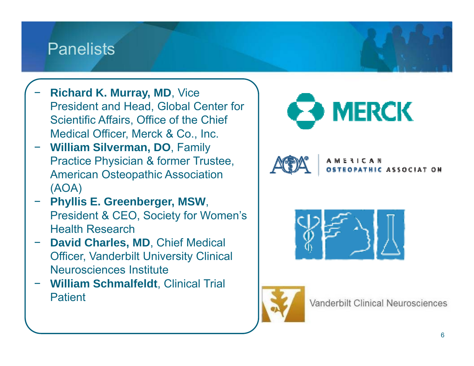### **Panelists**

- **Richard K. Murray, MD**, Vice President and Head, Global Center for Scientific Affairs, Office of the Chief Medical Officer, Merck & Co., Inc.
- **William Silverman, DO**, Family Practice Physician & former Trustee, American Osteopathic Association (AOA)
- **Phy <sup>s</sup> G ee be ge , S llis E. Greenberger, MSW**, President & CEO, Society for Women's Health Research
- **David Charles, MD**, Chief Medical Officer, Vanderbilt University Clinical Neurosciences Institute
- **William Schmalfeldt**, Clinical Trial **Patient**

![](_page_5_Picture_6.jpeg)

![](_page_5_Picture_7.jpeg)

ASSOCIAT ON

![](_page_5_Picture_9.jpeg)

![](_page_5_Picture_10.jpeg)

Vanderbilt Clinical Neurosciences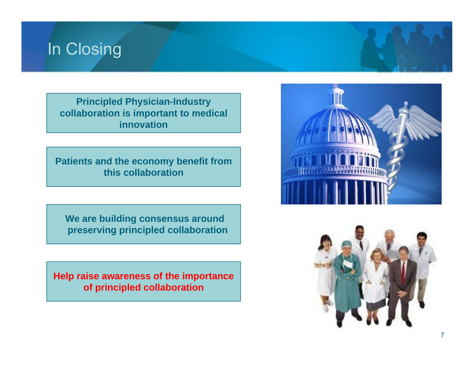# In Closing

**Principled Physician-Industry collaboration is important to medical innovation**

**Patients and the economy benefit from this collaboration**

**We are building consensus around preserving principled collaboration**

**Help raise awareness of the importance of principled collaboration**

![](_page_6_Picture_5.jpeg)

![](_page_6_Picture_6.jpeg)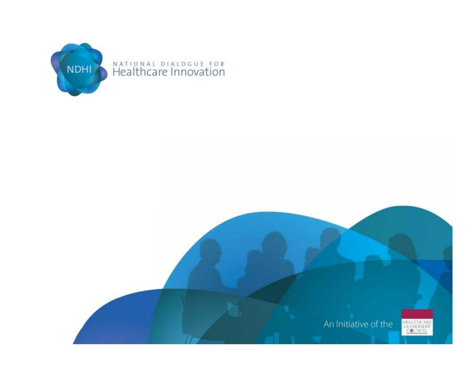![](_page_7_Picture_0.jpeg)

![](_page_7_Picture_1.jpeg)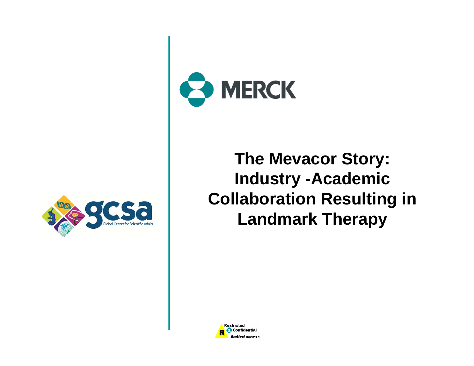![](_page_8_Picture_0.jpeg)

![](_page_8_Picture_1.jpeg)

**The Mevacor Story: Story: Industry -Academic Collaboration Resultin g in Landmark Therapy** 

![](_page_8_Picture_3.jpeg)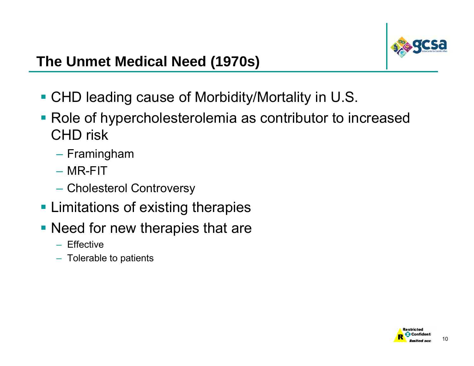![](_page_9_Picture_0.jpeg)

#### **The Unmet Medical Need ( ) 1970s**

- CHD leading cause of Morbidity/Mortality in U.S.
- Role of hypercholesterolemia as contributor to increased CHD risk
	- Framin gham
	- MR-FIT
	- Cholesterol Controversy
- **Limitations of existing therapies**
- **Need for new therapies that are** 
	- Effective
	- Tolerable to patients

![](_page_9_Picture_11.jpeg)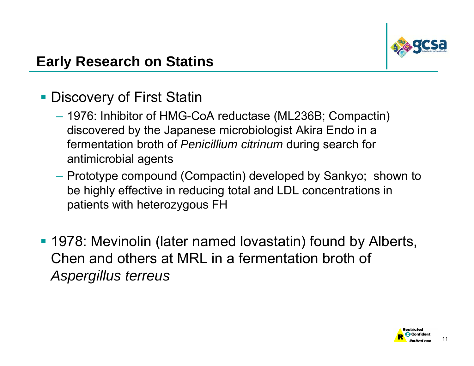![](_page_10_Picture_0.jpeg)

#### **Early Research on Statins**

#### **- Discovery of First Statin**

- 1976: Inhibitor of HMG-CoA reductase (ML236B; Compactin) discovered by the Japanese microbiologist Akira Endo in a fermentation broth of *Penicillium citrinum* during search for antimicrobial agents
- Prototype compound (Compactin) developed by Sankyo; shown to be highly effective in reducing total and LDL concentrations in patients with heterozygous FH
- 1978: Mevinolin (later named lovastatin) found by Alberts, Chen and others at MRL in a fermentation broth of *Aspergillus terreus*

![](_page_10_Picture_6.jpeg)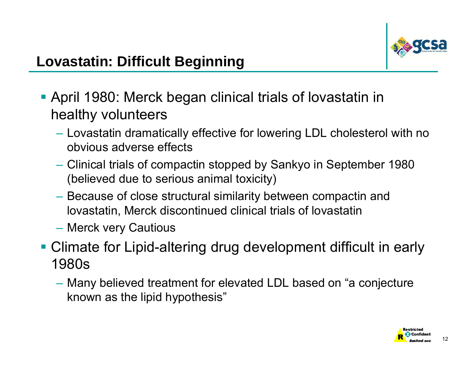![](_page_11_Picture_0.jpeg)

- April 1980: Merck began clinical trials of lovastatin in healthy volunteers
	- Lovastatin dramatically effective for lowering LDL cholesterol with no obvious adverse effects
	- Clinical trials of compactin stopped by Sankyo in September 1980 (believed due to serious animal toxicity)
	- Because of close structural similarity between compactin and lovastatin, Merck discontinued clinical trials of lovastatin
	- Merck very Cautious
- Climate for Lipid-altering drug development difficult in early 1980s
	- Many believed treatment for elevated LDL based on "a conjecture" known as the lipid hypothesis"

![](_page_11_Picture_9.jpeg)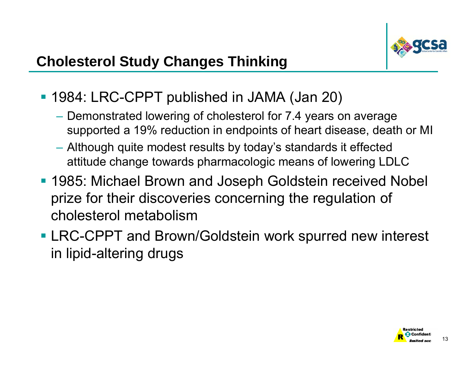![](_page_12_Picture_0.jpeg)

- 1984: LRC-CPPT published in JAMA (Jan 20)
	- $-$  Demonstrated lowering of cholesterol for 7.4 years on average supported a 19% reduction in endpoints of heart disease, death or MI
	- Although quite modest results by today's standards it effected attitude change towards pharmacologic means of lowering LDLC
- 1985: Michael Brown and Joseph Goldstein received Nobel prize for their discoveries concerning the regulation of cholesterol metabolism
- **LRC-CPPT and Brown/Goldstein work spurred new interest** in lipid-altering drugs

![](_page_12_Picture_7.jpeg)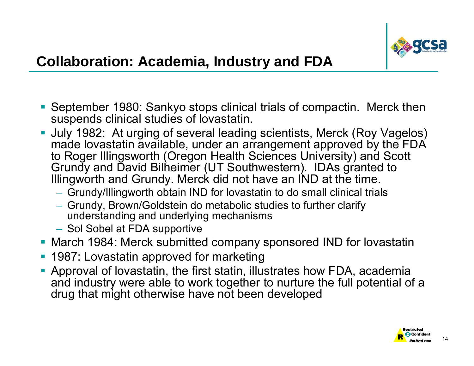![](_page_13_Picture_0.jpeg)

- $\mathcal{L}_{\mathcal{A}}$ ■ September 1980: Sankyo stops clinical trials of compactin. Merck then suspends clinical studies of lovastatin.
- er<br>19 July 1982: At urging of several leading scientists, Merck (Roy Vagelos) made lovastatin available, under an arrangement approved by the FDA to Roger Illingsworth (Oregon Health Sciences University) and Scott Grundy and David Bilheimer (UT Southwestern). IDAs granted to Illingworth and Grundy. Merck did not have an IND at the time.
	- Grundy/Illingworth obtain IND for lovastatin to do small clinical trials
	- Grundy, Brown/Goldstein do metabolic studies to further clarify understanding and underlying mechanisms
	- Sol Sobel at FDA supportive
- March 1984: Merck submitted company sponsored IND for lovastatin
- **1987: Lovastatin approved for marketing**
- $\mathcal{C}^{\mathcal{A}}$  Approval of lovastatin, the first statin, illustrates how FDA, academia and industry were able to work together to nurture the full potential of a drug that might otherwise have not been developed

![](_page_13_Picture_10.jpeg)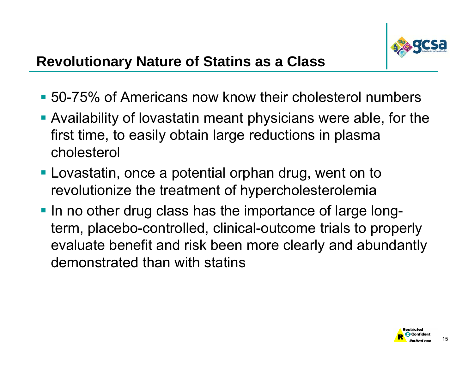![](_page_14_Picture_0.jpeg)

- 50-75% of Americans now know their cholesterol numbers
- Availability of lovastatin meant physicians were able, for the first time, to easily obtain large reductions in plasma cholesterol
- **Lovastatin, once a potential orphan drug, went on to** revolutionize the treatment of hypercholesterolemia
- In no other drug class has the importance of large longterm, placebo-controlled, clinical-outcome trials to properly evaluate benefit and risk been more clearly and abundantly demonstrated than with statins

![](_page_14_Picture_6.jpeg)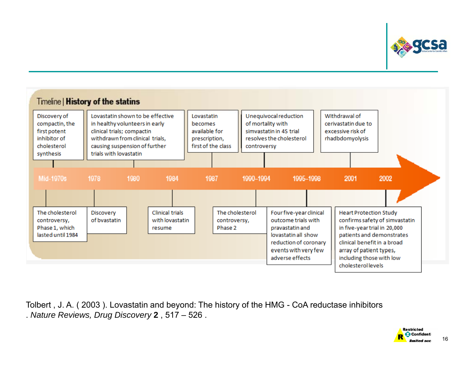![](_page_15_Picture_0.jpeg)

![](_page_15_Figure_1.jpeg)

Tolbert , J. A. ( 2003 ). Lovastatin and beyond: The history of the HMG - CoA reductase inhibitors . *Nature Reviews, Drug Discovery* **2** , 517 – 526 .

![](_page_15_Picture_3.jpeg)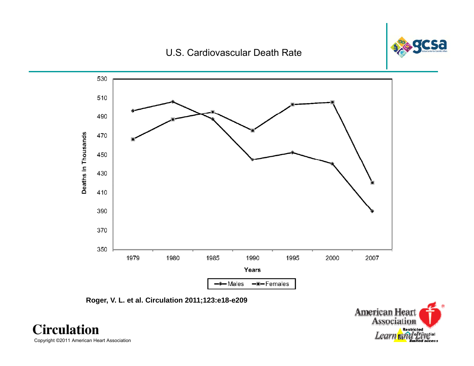#### **Chart 3-17** U.S. Cardiovascular Death Rate

![](_page_16_Picture_1.jpeg)

![](_page_16_Figure_2.jpeg)

![](_page_16_Figure_3.jpeg)

![](_page_16_Picture_4.jpeg)

**Circulation** Copyright ©2011 American Heart Association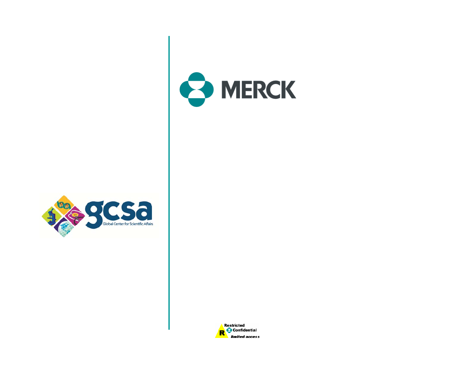![](_page_17_Picture_0.jpeg)

![](_page_17_Picture_1.jpeg)

![](_page_17_Picture_2.jpeg)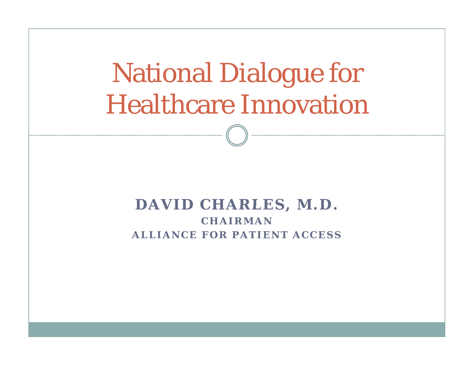# National Dialogue f logue for Healthcare Innovation

#### **DAVID CHARLES M D CHARLES, M.D. CHAIRMANALLIANCE FOR PATIENT ACCESS**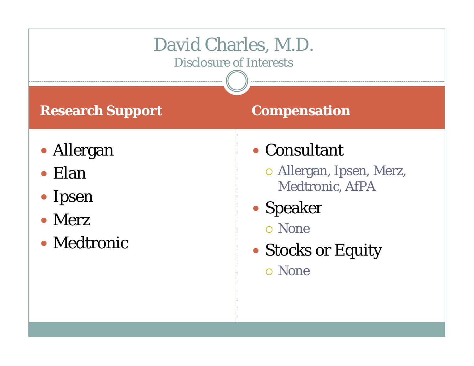![](_page_19_Figure_0.jpeg)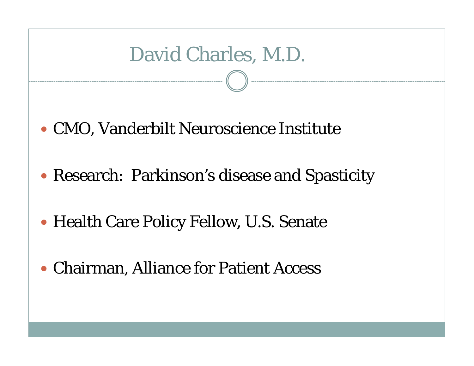# David Charles, M.D.

- CMO, Vanderbilt Neuroscience Institute
- Research: Parkinson's disease and Spasticity
- Health Care Policy Fellow, U.S. Senate
- Chairman, Alliance for Patient Access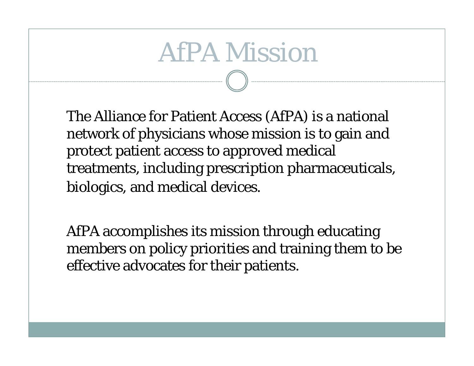# AfPA Mission

The Alliance for Patient Access (AfPA) is a national network of physicians whose mission is to gain and protect patient access to approved medical treatments, including prescription pharmaceuticals, biologics, and medical devices.

AfPA accomplishes its mission through educating members on policy priorities and training them to be effective advocates for their patients.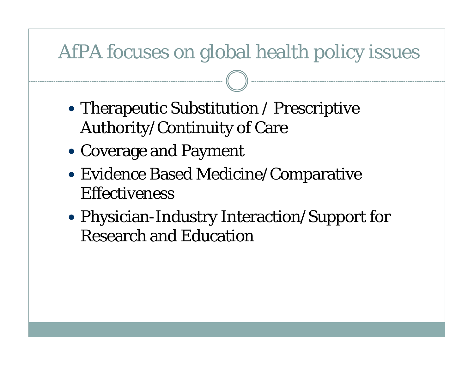# AfPA focuses on global health policy issues

- Therapeutic Substitution / Prescriptive Authority/Continuity of Care
- Coverage and Payment
- Evidence Based Medicine/Comparative **Effectiveness**
- Physician-Industry Interaction/Support for Research and Education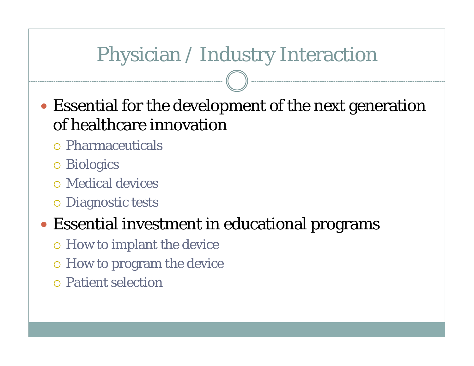# Physician / Industry Interaction

- Essential for the development of the next generation of healthcare innovation
	- Pharmaceuticals
	- o Biologics
	- Medical devices
	- **O** Diagnostic tests

# Essential investment in educational programs

- How to im plant the device
- o How to program the device
- Patient selection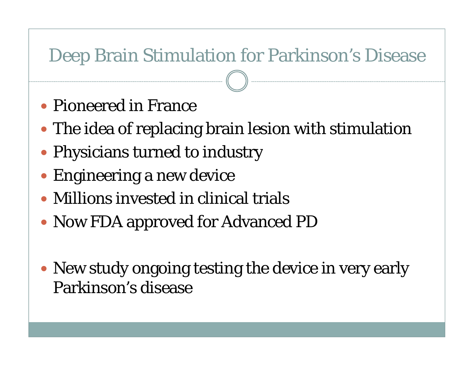# Deep Brain Stimulation for Parkinson's Disease

- Pioneered in France
- The idea of replacing brain lesion with stimulation
- Physicians turned to industry
- Engineering a new device
- Millions invested in clinical trials
- Now FDA approved for Advanced PD
- New study ongoing testing the device in very early Parkinson's disease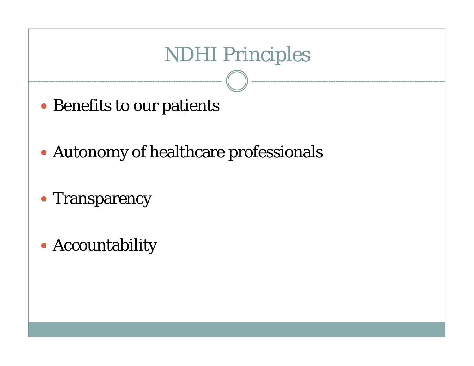# **NDHI Principles**

- Benefits to our patients
- Autonomy of healthcare professionals
- Transparency
- Accountability